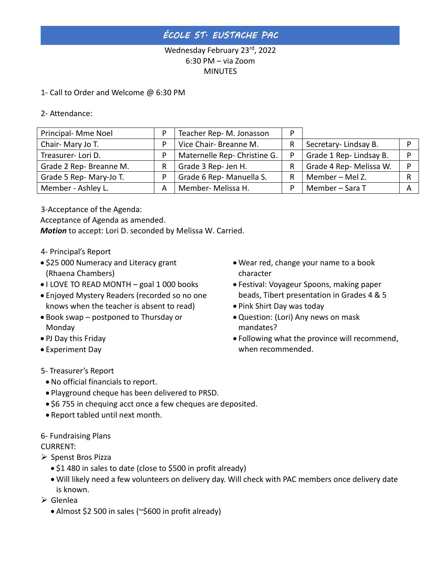## *ÉCOLE ST. EUSTACHE PAC*

### Wednesday February 23rd, 2022 6:30 PM – via Zoom **MINUTES**

#### 1- Call to Order and Welcome @ 6:30 PM

#### 2- Attendance:

| Principal- Mme Noel     |   | Teacher Rep-M. Jonasson      | D |                         |   |
|-------------------------|---|------------------------------|---|-------------------------|---|
| Chair-Mary Jo T.        |   | Vice Chair- Breanne M.       | R | Secretary-Lindsay B.    | Đ |
| Treasurer-Lori D.       |   | Maternelle Rep- Christine G. | Þ | Grade 1 Rep- Lindsay B. | D |
| Grade 2 Rep- Breanne M. |   | Grade 3 Rep- Jen H.          | R | Grade 4 Rep- Melissa W. | D |
| Grade 5 Rep- Mary-Jo T. |   | Grade 6 Rep- Manuella S.     | R | Member - Mel Z.         | R |
| Member - Ashley L.      | A | Member- Melissa H.           | D | Member - Sara T         | A |

3-Acceptance of the Agenda:

Acceptance of Agenda as amended.

*Motion* to accept: Lori D. seconded by Melissa W. Carried.

- 4- Principal's Report
- \$25 000 Numeracy and Literacy grant (Rhaena Chambers)
- I LOVE TO READ MONTH goal 1 000 books
- Enjoyed Mystery Readers (recorded so no one knows when the teacher is absent to read)
- Book swap postponed to Thursday or Monday
- PJ Day this Friday
- Experiment Day
- Wear red, change your name to a book character
- Festival: Voyageur Spoons, making paper beads, Tibert presentation in Grades 4 & 5
- Pink Shirt Day was today
- Question: (Lori) Any news on mask mandates?
- Following what the province will recommend, when recommended.

- 5- Treasurer's Report
	- No official financials to report.
	- Playground cheque has been delivered to PRSD.
	- \$6 755 in chequing acct once a few cheques are deposited.
	- Report tabled until next month.
- 6- Fundraising Plans

#### CURRENT:

- ➢ Spenst Bros Pizza
	- \$1 480 in sales to date (close to \$500 in profit already)
	- Will likely need a few volunteers on delivery day. Will check with PAC members once delivery date is known.
- ➢ Glenlea
	- Almost \$2 500 in sales (~\$600 in profit already)